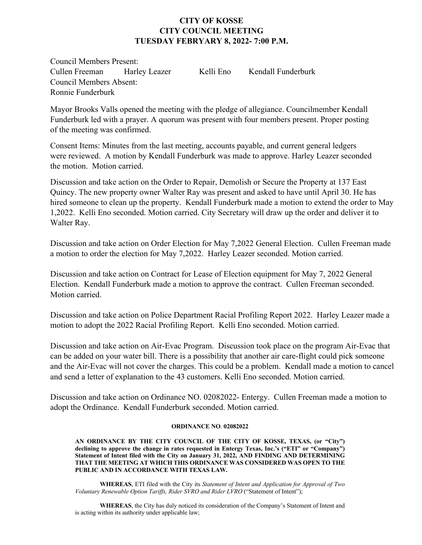## **CITY OF KOSSE CITY COUNCIL MEETING TUESDAY FEBRYARY 8, 2022- 7:00 P.M.**

Council Members Present: Cullen Freeman Harley Leazer Kelli Eno Kendall Funderburk Council Members Absent: Ronnie Funderburk

Mayor Brooks Valls opened the meeting with the pledge of allegiance. Councilmember Kendall Funderburk led with a prayer. A quorum was present with four members present. Proper posting of the meeting was confirmed.

Consent Items: Minutes from the last meeting, accounts payable, and current general ledgers were reviewed. A motion by Kendall Funderburk was made to approve. Harley Leazer seconded the motion. Motion carried.

Discussion and take action on the Order to Repair, Demolish or Secure the Property at 137 East Quincy. The new property owner Walter Ray was present and asked to have until April 30. He has hired someone to clean up the property. Kendall Funderburk made a motion to extend the order to May 1,2022. Kelli Eno seconded. Motion carried. City Secretary will draw up the order and deliver it to Walter Ray.

Discussion and take action on Order Election for May 7,2022 General Election. Cullen Freeman made a motion to order the election for May 7,2022. Harley Leazer seconded. Motion carried.

Discussion and take action on Contract for Lease of Election equipment for May 7, 2022 General Election. Kendall Funderburk made a motion to approve the contract. Cullen Freeman seconded. Motion carried.

Discussion and take action on Police Department Racial Profiling Report 2022. Harley Leazer made a motion to adopt the 2022 Racial Profiling Report. Kelli Eno seconded. Motion carried.

Discussion and take action on Air-Evac Program. Discussion took place on the program Air-Evac that can be added on your water bill. There is a possibility that another air care-flight could pick someone and the Air-Evac will not cover the charges. This could be a problem. Kendall made a motion to cancel and send a letter of explanation to the 43 customers. Kelli Eno seconded. Motion carried.

Discussion and take action on Ordinance NO. 02082022- Entergy. Cullen Freeman made a motion to adopt the Ordinance. Kendall Funderburk seconded. Motion carried.

## **ORDINANCE NO**. **02082022**

**AN ORDINANCE BY THE CITY COUNCIL OF THE CITY OF KOSSE, TEXAS, (or "City") declining to approve the change in rates requested in Entergy Texas, Inc.'s ("ETI" or "Company") Statement of Intent filed with the City on January 31, 2022, AND FINDING AND DETERMINING THAT THE MEETING AT WHICH THIS ORDINANCE WAS CONSIDERED WAS OPEN TO THE PUBLIC AND IN ACCORDANCE WITH TEXAS LAW.**

**WHEREAS**, ETI filed with the City its *Statement of Intent and Application for Approval of Two Voluntary Renewable Option Tariffs, Rider SVRO and Rider LVRO* ("Statement of Intent");

**WHEREAS**, the City has duly noticed its consideration of the Company's Statement of Intent and is acting within its authority under applicable law;